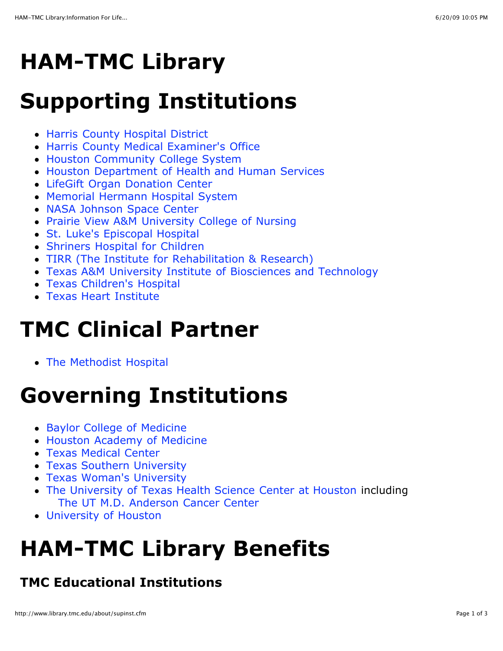## **HAM-TMC Library**

#### **Supporting Institutions**

- [Harris County Hospital District](http://www.hchdonline.com/)
- [Harris County Medical Examiner's Office](http://www.co.harris.tx.us/me/)
- **[Houston Community College System](http://www.hccs.edu/)**
- [Houston Department of Health and Human Services](http://www.houstontx.gov/health/index.html)
- [LifeGift Organ Donation Center](http://www.lifegift.org/)
- [Memorial Hermann Hospital System](http://www.memorialhermann.org/frontpage/Default.htm)
- [NASA Johnson Space Center](http://www.jsc.nasa.gov/)
- [Prairie View A&M University College of Nursing](http://acad.pvamu.edu/content/nursing)
- [St. Luke's Episcopal Hospital](http://www.sleh.com/sleh)
- [Shriners Hospital for Children](http://www.shrinershq.org/Hospitals/_Hospitals_for_Children/)
- [TIRR \(The Institute for Rehabilitation & Research\)](http://www.tirr.org/)
- [Texas A&M University Institute of Biosciences and Technology](http://ibt.tamhsc.edu/)
- [Texas Children's Hospital](http://www.texaschildrenshospital.org/)
- [Texas Heart Institute](http://www.texasheart.org/)

### **TMC Clinical Partner**

• [The Methodist Hospital](http://www.methodisthealth.com/cgi-bin/hmdim/home/home.do)

# **Governing Institutions**

- [Baylor College of Medicine](http://www.bcm.edu/)
- [Houston Academy of Medicine](http://www.hcms.org/)
- [Texas Medical Center](http://www.tmc.edu/)
- [Texas Southern University](http://www.tsu.edu/)
- [Texas Woman's University](http://www.twu.edu/houston)
- [The University of Texas Health Science Center at Houston](http://www.uth.tmc.edu/) including [The UT M.D. Anderson Cancer Center](http://www.mdanderson.org/)
- [University of Houston](http://www.uh.edu/)

## **HAM-TMC Library Benefits**

#### **TMC Educational Institutions**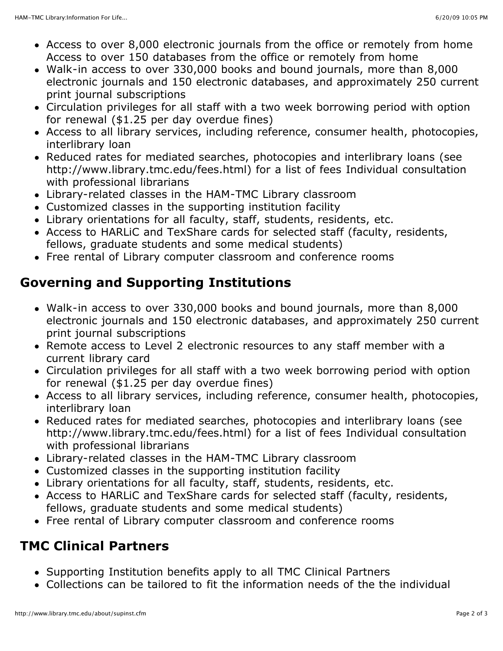- Access to over 8,000 electronic journals from the office or remotely from home Access to over 150 databases from the office or remotely from home
- Walk-in access to over 330,000 books and bound journals, more than 8,000 electronic journals and 150 electronic databases, and approximately 250 current print journal subscriptions
- Circulation privileges for all staff with a two week borrowing period with option for renewal (\$1.25 per day overdue fines)
- Access to all library services, including reference, consumer health, photocopies, interlibrary loan
- Reduced rates for mediated searches, photocopies and interlibrary loans (see http://www.library.tmc.edu/fees.html) for a list of fees Individual consultation with professional librarians
- Library-related classes in the HAM-TMC Library classroom
- Customized classes in the supporting institution facility
- Library orientations for all faculty, staff, students, residents, etc.
- Access to HARLiC and TexShare cards for selected staff (faculty, residents, fellows, graduate students and some medical students)
- Free rental of Library computer classroom and conference rooms

#### **Governing and Supporting Institutions**

- Walk-in access to over 330,000 books and bound journals, more than 8,000 electronic journals and 150 electronic databases, and approximately 250 current print journal subscriptions
- Remote access to Level 2 electronic resources to any staff member with a current library card
- Circulation privileges for all staff with a two week borrowing period with option for renewal (\$1.25 per day overdue fines)
- Access to all library services, including reference, consumer health, photocopies, interlibrary loan
- Reduced rates for mediated searches, photocopies and interlibrary loans (see http://www.library.tmc.edu/fees.html) for a list of fees Individual consultation with professional librarians
- Library-related classes in the HAM-TMC Library classroom
- Customized classes in the supporting institution facility
- Library orientations for all faculty, staff, students, residents, etc.
- Access to HARLiC and TexShare cards for selected staff (faculty, residents, fellows, graduate students and some medical students)
- Free rental of Library computer classroom and conference rooms

#### **TMC Clinical Partners**

- Supporting Institution benefits apply to all TMC Clinical Partners
- Collections can be tailored to fit the information needs of the the individual